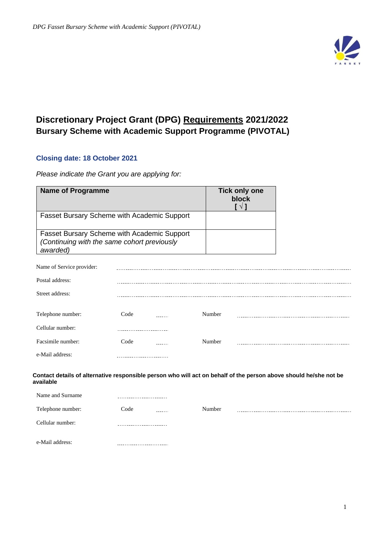

# **Discretionary Project Grant (DPG) Requirements 2021/2022 Bursary Scheme with Academic Support Programme (PIVOTAL)**

## **Closing date: 18 October 2021**

*Please indicate the Grant you are applying for:*

| <b>Name of Programme</b>  |                                                                                                                   |        | <b>Tick only one</b><br>block<br>$\mathsf{I} \vee \mathsf{I}$ |  |
|---------------------------|-------------------------------------------------------------------------------------------------------------------|--------|---------------------------------------------------------------|--|
|                           | Fasset Bursary Scheme with Academic Support                                                                       |        |                                                               |  |
| awarded)                  | Fasset Bursary Scheme with Academic Support<br>(Continuing with the same cohort previously                        |        |                                                               |  |
| Name of Service provider: |                                                                                                                   |        |                                                               |  |
| Postal address:           |                                                                                                                   |        |                                                               |  |
| Street address:           |                                                                                                                   |        |                                                               |  |
| Telephone number:         | Code                                                                                                              | Number |                                                               |  |
| Cellular number:          |                                                                                                                   |        |                                                               |  |
| Facsimile number:         | Code<br>2.2.2.2.2.1                                                                                               | Number |                                                               |  |
| e-Mail address:           |                                                                                                                   |        |                                                               |  |
| available                 | Contact details of alternative responsible person who will act on behalf of the person above should he/she not be |        |                                                               |  |
| Name and Surname          |                                                                                                                   |        |                                                               |  |
| Telephone number:         | Code                                                                                                              | Number |                                                               |  |
| Cellular number:          |                                                                                                                   |        |                                                               |  |
| e-Mail address:           |                                                                                                                   |        |                                                               |  |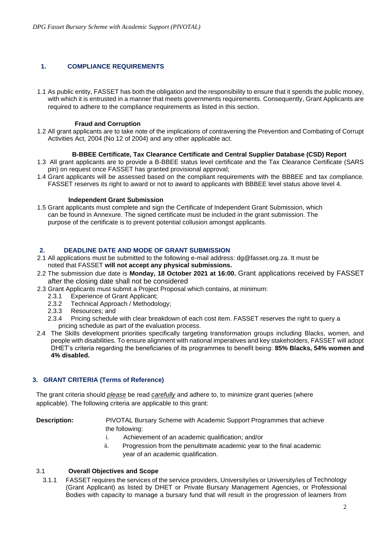### **1. COMPLIANCE REQUIREMENTS**

1.1 As public entity, FASSET has both the obligation and the responsibility to ensure that it spends the public money, with which it is entrusted in a manner that meets governments requirements. Consequently, Grant Applicants are required to adhere to the compliance requirements as listed in this section.

### **Fraud and Corruption**

1.2 All grant applicants are to take note of the implications of contravening the Prevention and Combating of Corrupt Activities Act, 2004 (No 12 of 2004) and any other applicable act.

### **B-BBEE Certificate, Tax Clearance Certificate and Central Supplier Database (CSD) Report**

- 1.3 All grant applicants are to provide a B-BBEE status level certificate and the Tax Clearance Certificate (SARS pin) on request once FASSET has granted provisional approval;
- 1.4 Grant applicants will be assessed based on the compliant requirements with the BBBEE and tax compliance. FASSET reserves its right to award or not to award to applicants with BBBEE level status above level 4.

### **Independent Grant Submission**

1.5 Grant applicants must complete and sign the Certificate of Independent Grant Submission, which can be found in Annexure. The signed certificate must be included in the grant submission. The purpose of the certificate is to prevent potential collusion amongst applicants.

### **2. DEADLINE DATE AND MODE OF GRANT SUBMISSION**

- 2.1 All applications must be submitted to the following e-mail address: dg@fasset.org.za. It must be noted that FASSET **will not accept any physical submissions.**
- 2.2 The submission due date is **Monday, 18 October 2021 at 16:00.** Grant applications received by FASSET after the closing date shall not be considered
- 2.3 Grant Applicants must submit a Project Proposal which contains, at minimum:
	- 2.3.1 Experience of Grant Applicant;<br>2.3.2 Technical Approach / Methodol
	- Technical Approach / Methodology;
	- 2.3.3 Resources; and
	- 2.3.4 Pricing schedule with clear breakdown of each cost item. FASSET reserves the right to query a pricing schedule as part of the evaluation process.
- 2.4 The Skills development priorities specifically targeting transformation groups including Blacks, women, and people with disabilities. To ensure alignment with national imperatives and key stakeholders, FASSET will adopt DHET's criteria regarding the beneficiaries of its programmes to benefit being: **85% Blacks, 54% women and 4% disabled.**

### **3. GRANT CRITERIA (Terms of Reference)**

The grant criteria should *please* be read *carefully* and adhere to, to minimize grant queries (where applicable). The following criteria are applicable to this grant:

**Description:** PIVOTAL Bursary Scheme with Academic Support Programmes that achieve the following:

- i. Achievement of an academic qualification; and/or
- ii. Progression from the penultimate academic year to the final academic year of an academic qualification.

### 3.1 **Overall Objectives and Scope**

3.1.1 FASSET requires the services of the service providers, University/ies or University/ies of Technology (Grant Applicant) as listed by DHET or Private Bursary Management Agencies, or Professional Bodies with capacity to manage a bursary fund that will result in the progression of learners from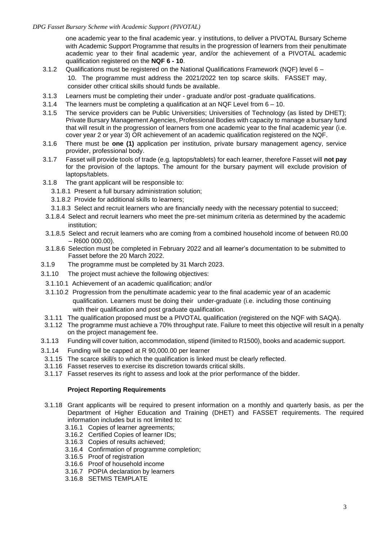one academic year to the final academic year. y institutions, to deliver a PIVOTAL Bursary Scheme with Academic Support Programme that results in the progression of learners from their penultimate academic year to their final academic year, and/or the achievement of a PIVOTAL academic qualification registered on the **NQF 6 - 10**.

- 3.1.2 Qualifications must be registered on the National Qualifications Framework (NQF) level 6 10. The programme must address the 2021/2022 ten top scarce skills. FASSET may, consider other critical skills should funds be available.
- 3.1.3 Learners must be completing their under graduate and/or post -graduate qualifications.
- 3.1.4 The learners must be completing a qualification at an NQF Level from 6 10.
- 3.1.5 The service providers can be Public Universities; Universities of Technology (as listed by DHET); Private Bursary Management Agencies, Professional Bodies with capacity to manage a bursary fund that will result in the progression of learners from one academic year to the final academic year (i.e. cover year 2 or year 3) OR achievement of an academic qualification registered on the NQF.
- 3.1.6 There must be **one (1)** application per institution, private bursary management agency, service provider, professional body.
- 3.1.7 Fasset will provide tools of trade (e.g. laptops/tablets) for each learner, therefore Fasset will **not pay** for the provision of the laptops. The amount for the bursary payment will exclude provision of laptops/tablets.
- 3.1.8 The grant applicant will be responsible to:
	- 3.1.8.1 Present a full bursary administration solution;
	- 3.1.8.2 Provide for additional skills to learners;
	- 3.1.8.3 Select and recruit learners who are financially needy with the necessary potential to succeed;
- 3.1.8.4 Select and recruit learners who meet the pre-set minimum criteria as determined by the academic institution;
- 3.1.8.5 Select and recruit learners who are coming from a combined household income of between R0.00  $-$  R600 000.00).
- 3.1.8.6 Selection must be completed in February 2022 and all learner's documentation to be submitted to Fasset before the 20 March 2022.
- 3.1.9 The programme must be completed by 31 March 2023.
- 3.1.10 The project must achieve the following objectives:
- 3.1.10.1 Achievement of an academic qualification; and/or
- 3.1.10.2 Progression from the penultimate academic year to the final academic year of an academic qualification. Learners must be doing their under-graduate (i.e. including those continuing with their qualification and post graduate qualification.
- 3.1.11 The qualification proposed must be a PIVOTAL qualification (registered on the NQF with SAQA).
- 3.1.12 The programme must achieve a 70% throughput rate. Failure to meet this objective will result in a penalty on the project management fee.
- 3.1.13 Funding will cover tuition, accommodation, stipend (limited to R1500), books and academic support.
- 3.1.14 Funding will be capped at R 90,000.00 per learner
- 3.1.15 The scarce skill/s to which the qualification is linked must be clearly reflected.
- 3.1.16 Fasset reserves to exercise its discretion towards critical skills.
- 3.1.17 Fasset reserves its right to assess and look at the prior performance of the bidder.

### **Project Reporting Requirements**

- 3.1.18 Grant applicants will be required to present information on a monthly and quarterly basis, as per the Department of Higher Education and Training (DHET) and FASSET requirements. The required information includes but is not limited to:
	- 3.16.1 Copies of learner agreements;
	- 3.16.2 Certified Copies of learner IDs;
	- 3.16.3 Copies of results achieved;
	- 3.16.4 Confirmation of programme completion;
	- 3.16.5 Proof of registration
	- 3.16.6 Proof of household income
	- 3.16.7 POPIA declaration by learners
	- 3.16.8 SETMIS TEMPLATE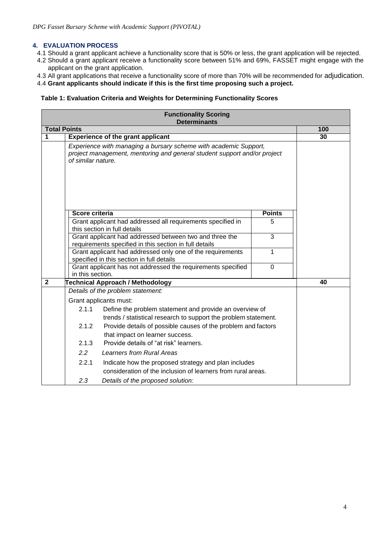### **4. EVALUATION PROCESS**

- 4.1 Should a grant applicant achieve a functionality score that is 50% or less, the grant application will be rejected.
- 4.2 Should a grant applicant receive a functionality score between 51% and 69%, FASSET might engage with the applicant on the grant application.
- 4.3 All grant applications that receive a functionality score of more than 70% will be recommended for adjudication.
- 4.4 **Grant applicants should indicate if this is the first time proposing such a project.**

### **Table 1: Evaluation Criteria and Weights for Determining Functionality Scores**

|                     |                                                                                                                                                                              | <b>Functionality Scoring</b><br><b>Determinants</b>                                                                                          |                |     |
|---------------------|------------------------------------------------------------------------------------------------------------------------------------------------------------------------------|----------------------------------------------------------------------------------------------------------------------------------------------|----------------|-----|
| <b>Total Points</b> |                                                                                                                                                                              |                                                                                                                                              |                | 100 |
| 1                   |                                                                                                                                                                              | <b>Experience of the grant applicant</b>                                                                                                     |                | 30  |
|                     | of similar nature.                                                                                                                                                           | Experience with managing a bursary scheme with academic Support,<br>project management, mentoring and general student support and/or project |                |     |
|                     | Score criteria                                                                                                                                                               |                                                                                                                                              | <b>Points</b>  |     |
|                     |                                                                                                                                                                              | Grant applicant had addressed all requirements specified in<br>this section in full details                                                  | 5              |     |
|                     |                                                                                                                                                                              | Grant applicant had addressed between two and three the<br>requirements specified in this section in full details                            | $\overline{3}$ |     |
|                     | 1<br>Grant applicant had addressed only one of the requirements<br>specified in this section in full details                                                                 |                                                                                                                                              |                |     |
|                     | in this section.                                                                                                                                                             | Grant applicant has not addressed the requirements specified                                                                                 | $\overline{0}$ |     |
| $\overline{2}$      |                                                                                                                                                                              | Technical Approach / Methodology                                                                                                             |                | 40  |
|                     |                                                                                                                                                                              | Details of the problem statement:                                                                                                            |                |     |
|                     |                                                                                                                                                                              | Grant applicants must:                                                                                                                       |                |     |
|                     | 2.1.1                                                                                                                                                                        | Define the problem statement and provide an overview of                                                                                      |                |     |
|                     | trends / statistical research to support the problem statement.<br>Provide details of possible causes of the problem and factors<br>2.1.2<br>that impact on learner success. |                                                                                                                                              |                |     |
|                     | 2.1.3                                                                                                                                                                        | Provide details of "at risk" learners.                                                                                                       |                |     |
|                     | 2.2                                                                                                                                                                          | Learners from Rural Areas                                                                                                                    |                |     |
|                     | 2.2.1<br>Indicate how the proposed strategy and plan includes<br>consideration of the inclusion of learners from rural areas.                                                |                                                                                                                                              |                |     |
|                     | 2.3                                                                                                                                                                          | Details of the proposed solution:                                                                                                            |                |     |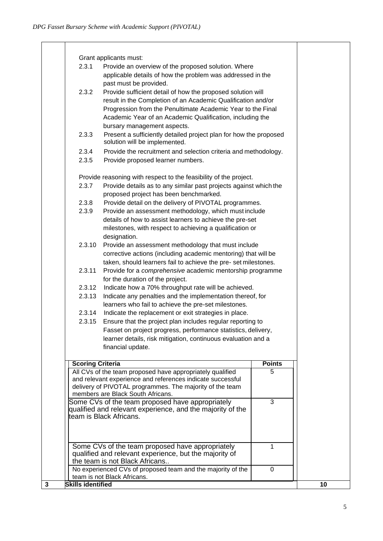|                               | Grant applicants must:                                                                                                                  |               |    |
|-------------------------------|-----------------------------------------------------------------------------------------------------------------------------------------|---------------|----|
|                               | 2.3.1<br>Provide an overview of the proposed solution. Where                                                                            |               |    |
|                               | applicable details of how the problem was addressed in the                                                                              |               |    |
|                               | past must be provided.                                                                                                                  |               |    |
| 2.3.2                         | Provide sufficient detail of how the proposed solution will                                                                             |               |    |
|                               | result in the Completion of an Academic Qualification and/or<br>Progression from the Penultimate Academic Year to the Final             |               |    |
|                               | Academic Year of an Academic Qualification, including the                                                                               |               |    |
|                               | bursary management aspects.                                                                                                             |               |    |
| 2.3.3                         | Present a sufficiently detailed project plan for how the proposed                                                                       |               |    |
|                               | solution will be implemented.                                                                                                           |               |    |
| 2.3.4                         | Provide the recruitment and selection criteria and methodology.                                                                         |               |    |
| 2.3.5                         | Provide proposed learner numbers.                                                                                                       |               |    |
|                               | Provide reasoning with respect to the feasibility of the project.                                                                       |               |    |
| 2.3.7                         | Provide details as to any similar past projects against which the                                                                       |               |    |
|                               | proposed project has been benchmarked.                                                                                                  |               |    |
| 2.3.8                         | Provide detail on the delivery of PIVOTAL programmes.                                                                                   |               |    |
| 2.3.9                         | Provide an assessment methodology, which must include                                                                                   |               |    |
|                               | details of how to assist learners to achieve the pre-set                                                                                |               |    |
|                               | milestones, with respect to achieving a qualification or<br>designation.                                                                |               |    |
| 2.3.10                        | Provide an assessment methodology that must include                                                                                     |               |    |
|                               | corrective actions (including academic mentoring) that will be                                                                          |               |    |
|                               | taken, should learners fail to achieve the pre-set milestones.                                                                          |               |    |
| 2.3.11                        | Provide for a comprehensive academic mentorship programme                                                                               |               |    |
|                               | for the duration of the project.                                                                                                        |               |    |
| 2.3.12                        | Indicate how a 70% throughput rate will be achieved.                                                                                    |               |    |
|                               | 2.3.13<br>Indicate any penalties and the implementation thereof, for                                                                    |               |    |
|                               | learners who fail to achieve the pre-set milestones.                                                                                    |               |    |
|                               | 2.3.14<br>Indicate the replacement or exit strategies in place.<br>Ensure that the project plan includes regular reporting to<br>2.3.15 |               |    |
|                               | Fasset on project progress, performance statistics, delivery,                                                                           |               |    |
|                               | learner details, risk mitigation, continuous evaluation and a                                                                           |               |    |
|                               | financial update.                                                                                                                       |               |    |
|                               |                                                                                                                                         |               |    |
|                               | <b>Scoring Criteria</b>                                                                                                                 | <b>Points</b> |    |
|                               | All CVs of the team proposed have appropriately qualified                                                                               | 5             |    |
|                               | and relevant experience and references indicate successful                                                                              |               |    |
|                               | delivery of PIVOTAL programmes. The majority of the team<br>members are Black South Africans.                                           |               |    |
|                               | Some CVs of the team proposed have appropriately                                                                                        | 3             |    |
|                               | qualified and relevant experience, and the majority of the                                                                              |               |    |
|                               | team is Black Africans.                                                                                                                 |               |    |
|                               |                                                                                                                                         |               |    |
|                               |                                                                                                                                         |               |    |
|                               | Some CVs of the team proposed have appropriately                                                                                        | 1             |    |
|                               | qualified and relevant experience, but the majority of                                                                                  |               |    |
|                               | the team is not Black Africans                                                                                                          |               |    |
|                               | No experienced CVs of proposed team and the majority of the<br>team is not Black Africans.                                              | 0             |    |
| <b>Skills identified</b><br>3 |                                                                                                                                         |               | 10 |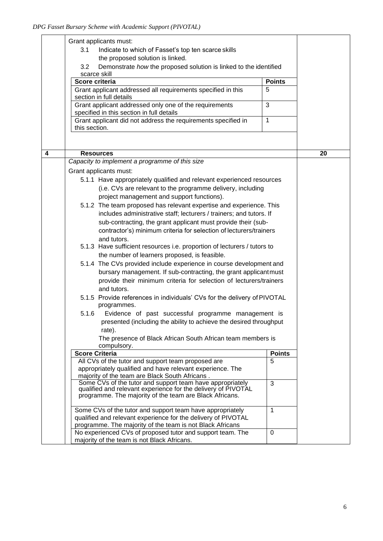|   | Grant applicants must:                                                                                                     |               |    |  |
|---|----------------------------------------------------------------------------------------------------------------------------|---------------|----|--|
|   | 3.1<br>Indicate to which of Fasset's top ten scarce skills                                                                 |               |    |  |
|   | the proposed solution is linked.                                                                                           |               |    |  |
|   | 3.2<br>Demonstrate how the proposed solution is linked to the identified                                                   |               |    |  |
|   | scarce skill                                                                                                               |               |    |  |
|   | Score criteria                                                                                                             | <b>Points</b> |    |  |
|   | Grant applicant addressed all requirements specified in this                                                               | 5             |    |  |
|   | section in full details                                                                                                    |               |    |  |
|   | Grant applicant addressed only one of the requirements                                                                     | 3             |    |  |
|   | specified in this section in full details                                                                                  |               |    |  |
|   | Grant applicant did not address the requirements specified in                                                              | 1             |    |  |
|   | this section.                                                                                                              |               |    |  |
|   |                                                                                                                            |               |    |  |
|   |                                                                                                                            |               |    |  |
| 4 | <b>Resources</b>                                                                                                           |               | 20 |  |
|   | Capacity to implement a programme of this size                                                                             |               |    |  |
|   | Grant applicants must:                                                                                                     |               |    |  |
|   | 5.1.1 Have appropriately qualified and relevant experienced resources                                                      |               |    |  |
|   | (i.e. CVs are relevant to the programme delivery, including                                                                |               |    |  |
|   | project management and support functions).                                                                                 |               |    |  |
|   | 5.1.2 The team proposed has relevant expertise and experience. This                                                        |               |    |  |
|   | includes administrative staff; lecturers / trainers; and tutors. If                                                        |               |    |  |
|   |                                                                                                                            |               |    |  |
|   | sub-contracting, the grant applicant must provide their (sub-                                                              |               |    |  |
|   | contractor's) minimum criteria for selection of lecturers/trainers                                                         |               |    |  |
|   | and tutors.                                                                                                                |               |    |  |
|   | 5.1.3 Have sufficient resources i.e. proportion of lecturers / tutors to                                                   |               |    |  |
|   | the number of learners proposed, is feasible.                                                                              |               |    |  |
|   | 5.1.4 The CVs provided include experience in course development and                                                        |               |    |  |
|   | bursary management. If sub-contracting, the grant applicantmust                                                            |               |    |  |
|   | provide their minimum criteria for selection of lecturers/trainers                                                         |               |    |  |
|   | and tutors.                                                                                                                |               |    |  |
|   | 5.1.5 Provide references in individuals' CVs for the delivery of PIVOTAL                                                   |               |    |  |
|   | programmes.                                                                                                                |               |    |  |
|   | 5.1.6<br>Evidence of past successful programme management is                                                               |               |    |  |
|   | presented (including the ability to achieve the desired throughput                                                         |               |    |  |
|   | rate).                                                                                                                     |               |    |  |
|   | The presence of Black African South African team members is                                                                |               |    |  |
|   | compulsory.                                                                                                                |               |    |  |
|   | <b>Score Criteria</b>                                                                                                      | <b>Points</b> |    |  |
|   | All CVs of the tutor and support team proposed are                                                                         | 5             |    |  |
|   | appropriately qualified and have relevant experience. The                                                                  |               |    |  |
|   | majority of the team are Black South Africans.                                                                             |               |    |  |
|   | Some CVs of the tutor and support team have appropriately<br>qualified and relevant experience for the delivery of PIVOTAL | 3             |    |  |
|   | programme. The majority of the team are Black Africans.                                                                    |               |    |  |
|   |                                                                                                                            |               |    |  |
|   | Some CVs of the tutor and support team have appropriately                                                                  | $\mathbf{1}$  |    |  |
|   | qualified and relevant experience for the delivery of PIVOTAL                                                              |               |    |  |
|   | programme. The majority of the team is not Black Africans                                                                  |               |    |  |
|   | No experienced CVs of proposed tutor and support team. The                                                                 | 0             |    |  |
|   | majority of the team is not Black Africans.                                                                                |               |    |  |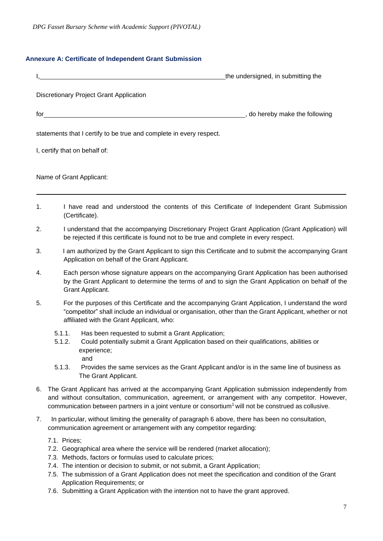### **Annexure A: Certificate of Independent Grant Submission**

|                                                                     | the undersigned, in submitting the |
|---------------------------------------------------------------------|------------------------------------|
| <b>Discretionary Project Grant Application</b>                      |                                    |
|                                                                     | _, do hereby make the following    |
| statements that I certify to be true and complete in every respect. |                                    |
| I, certify that on behalf of:                                       |                                    |
| Name of Grant Applicant:                                            |                                    |
|                                                                     |                                    |

- 1. I have read and understood the contents of this Certificate of Independent Grant Submission (Certificate).
- 2. I understand that the accompanying Discretionary Project Grant Application (Grant Application) will be rejected if this certificate is found not to be true and complete in every respect.
- 3. I am authorized by the Grant Applicant to sign this Certificate and to submit the accompanying Grant Application on behalf of the Grant Applicant.
- 4. Each person whose signature appears on the accompanying Grant Application has been authorised by the Grant Applicant to determine the terms of and to sign the Grant Application on behalf of the Grant Applicant.
- 5. For the purposes of this Certificate and the accompanying Grant Application, I understand the word "competitor" shall include an individual or organisation, other than the Grant Applicant, whether or not affiliated with the Grant Applicant, who:
	- 5.1.1. Has been requested to submit a Grant Application;
	- 5.1.2. Could potentially submit a Grant Application based on their qualifications, abilities or experience; and
	- 5.1.3. Provides the same services as the Grant Applicant and/or is in the same line of business as The Grant Applicant.
- 6. The Grant Applicant has arrived at the accompanying Grant Application submission independently from and without consultation, communication, agreement, or arrangement with any competitor. However, communication between partners in a joint venture or consortium<sup>1</sup> will not be construed as collusive.
- 7. In particular, without limiting the generality of paragraph 6 above, there has been no consultation, communication agreement or arrangement with any competitor regarding:
	- 7.1. Prices;
	- 7.2. Geographical area where the service will be rendered (market allocation);
	- 7.3. Methods, factors or formulas used to calculate prices;
	- 7.4. The intention or decision to submit, or not submit, a Grant Application;
	- 7.5. The submission of a Grant Application does not meet the specification and condition of the Grant Application Requirements; or
	- 7.6. Submitting a Grant Application with the intention not to have the grant approved.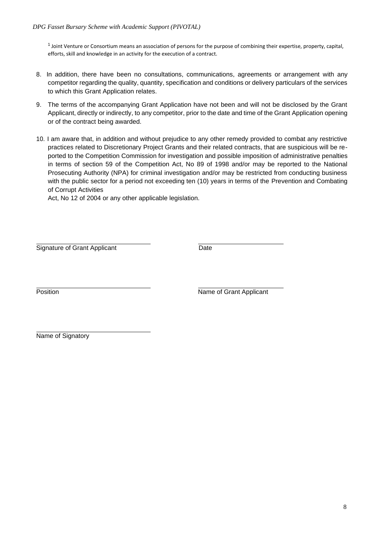$1$  Joint Venture or Consortium means an association of persons for the purpose of combining their expertise, property, capital, efforts, skill and knowledge in an activity for the execution of a contract.

- 8. In addition, there have been no consultations, communications, agreements or arrangement with any competitor regarding the quality, quantity, specification and conditions or delivery particulars of the services to which this Grant Application relates.
- 9. The terms of the accompanying Grant Application have not been and will not be disclosed by the Grant Applicant, directly or indirectly, to any competitor, prior to the date and time of the Grant Application opening or of the contract being awarded.
- 10. I am aware that, in addition and without prejudice to any other remedy provided to combat any restrictive practices related to Discretionary Project Grants and their related contracts, that are suspicious will be reported to the Competition Commission for investigation and possible imposition of administrative penalties in terms of section 59 of the Competition Act, No 89 of 1998 and/or may be reported to the National Prosecuting Authority (NPA) for criminal investigation and/or may be restricted from conducting business with the public sector for a period not exceeding ten (10) years in terms of the Prevention and Combating of Corrupt Activities

Act, No 12 of 2004 or any other applicable legislation.

Signature of Grant Applicant **Date** 

Position **Name of Grant Applicant** 

Name of Signatory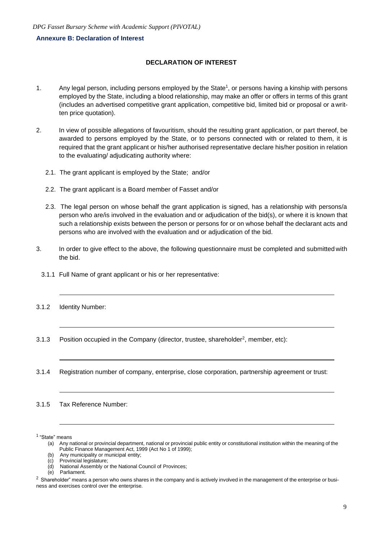#### **Annexure B: Declaration of Interest**

#### **DECLARATION OF INTEREST**

- 1. Any legal person, including persons employed by the State<sup>1</sup>, or persons having a kinship with persons employed by the State, including a blood relationship, may make an offer or offers in terms of this grant (includes an advertised competitive grant application, competitive bid, limited bid or proposal or a written price quotation).
- 2. In view of possible allegations of favouritism, should the resulting grant application, or part thereof, be awarded to persons employed by the State, or to persons connected with or related to them, it is required that the grant applicant or his/her authorised representative declare his/her position in relation to the evaluating/ adjudicating authority where:
	- 2.1. The grant applicant is employed by the State; and/or
	- 2.2. The grant applicant is a Board member of Fasset and/or
	- 2.3. The legal person on whose behalf the grant application is signed, has a relationship with persons/a person who are/is involved in the evaluation and or adjudication of the bid(s), or where it is known that such a relationship exists between the person or persons for or on whose behalf the declarant acts and persons who are involved with the evaluation and or adjudication of the bid.
- 3. In order to give effect to the above, the following questionnaire must be completed and submitted with the bid.
	- 3.1.1 Full Name of grant applicant or his or her representative:
- 3.1.2 Identity Number:
- 3.1.3 Position occupied in the Company (director, trustee, shareholder<sup>2</sup>, member, etc):
- 3.1.4 Registration number of company, enterprise, close corporation, partnership agreement or trust:

3.1.5 Tax Reference Number:

1 "State" means

<sup>(</sup>a) Any national or provincial department, national or provincial public entity or constitutional institution within the meaning of the Public Finance Management Act, 1999 (Act No 1 of 1999);

<sup>(</sup>b) Any municipality or municipal entity;

<sup>(</sup>c) Provincial legislature;

<sup>(</sup>d) National Assembly or the National Council of Provinces;

Parliament.

 $2$  Shareholder" means a person who owns shares in the company and is actively involved in the management of the enterprise or business and exercises control over the enterprise.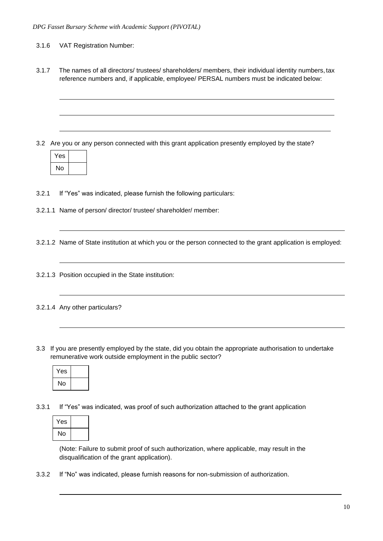- 3.1.6 VAT Registration Number:
- 3.1.7 The names of all directors/ trustees/ shareholders/ members, their individual identity numbers, tax reference numbers and, if applicable, employee/ PERSAL numbers must be indicated below:

3.2 Are you or any person connected with this grant application presently employed by the state?

| 'es |  |
|-----|--|
| No  |  |

3.2.1 If "Yes" was indicated, please furnish the following particulars:

3.2.1.1 Name of person/ director/ trustee/ shareholder/ member:

3.2.1.2 Name of State institution at which you or the person connected to the grant application is employed:

- 3.2.1.3 Position occupied in the State institution:
- 3.2.1.4 Any other particulars?
- 3.3 If you are presently employed by the state, did you obtain the appropriate authorisation to undertake remunerative work outside employment in the public sector?

| Yes |  |
|-----|--|
| No  |  |

3.3.1 If "Yes" was indicated, was proof of such authorization attached to the grant application



(Note: Failure to submit proof of such authorization, where applicable, may result in the disqualification of the grant application).

3.3.2 If "No" was indicated, please furnish reasons for non-submission of authorization.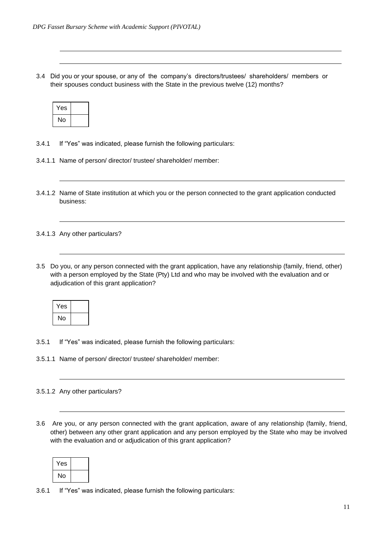3.4 Did you or your spouse, or any of the company's directors/trustees/ shareholders/ members or their spouses conduct business with the State in the previous twelve (12) months?

| Yes |  |
|-----|--|
| No  |  |

- 3.4.1 If "Yes" was indicated, please furnish the following particulars:
- 3.4.1.1 Name of person/ director/ trustee/ shareholder/ member:
- 3.4.1.2 Name of State institution at which you or the person connected to the grant application conducted business:

3.4.1.3 Any other particulars?

3.5 Do you, or any person connected with the grant application, have any relationship (family, friend, other) with a person employed by the State (Pty) Ltd and who may be involved with the evaluation and or adjudication of this grant application?

| Yes |  |
|-----|--|
| No  |  |

- 3.5.1 If "Yes" was indicated, please furnish the following particulars:
- 3.5.1.1 Name of person/ director/ trustee/ shareholder/ member:

#### 3.5.1.2 Any other particulars?

3.6 Are you, or any person connected with the grant application, aware of any relationship (family, friend, other) between any other grant application and any person employed by the State who may be involved with the evaluation and or adjudication of this grant application?

| 'es |  |
|-----|--|
| No  |  |

3.6.1 If "Yes" was indicated, please furnish the following particulars: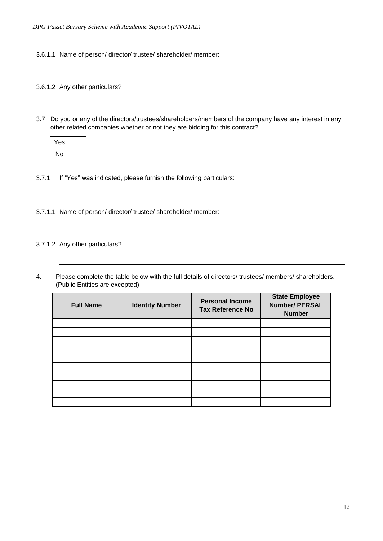3.6.1.1 Name of person/ director/ trustee/ shareholder/ member:

#### 3.6.1.2 Any other particulars?

3.7 Do you or any of the directors/trustees/shareholders/members of the company have any interest in any other related companies whether or not they are bidding for this contract?

| Yes |  |
|-----|--|
| No  |  |

- 3.7.1 If "Yes" was indicated, please furnish the following particulars:
- 3.7.1.1 Name of person/ director/ trustee/ shareholder/ member:

#### 3.7.1.2 Any other particulars?

4. Please complete the table below with the full details of directors/ trustees/ members/ shareholders. (Public Entities are excepted)

| <b>Full Name</b> | <b>Identity Number</b> | <b>Personal Income</b><br><b>Tax Reference No</b> | <b>State Employee</b><br><b>Number/ PERSAL</b><br><b>Number</b> |
|------------------|------------------------|---------------------------------------------------|-----------------------------------------------------------------|
|                  |                        |                                                   |                                                                 |
|                  |                        |                                                   |                                                                 |
|                  |                        |                                                   |                                                                 |
|                  |                        |                                                   |                                                                 |
|                  |                        |                                                   |                                                                 |
|                  |                        |                                                   |                                                                 |
|                  |                        |                                                   |                                                                 |
|                  |                        |                                                   |                                                                 |
|                  |                        |                                                   |                                                                 |
|                  |                        |                                                   |                                                                 |